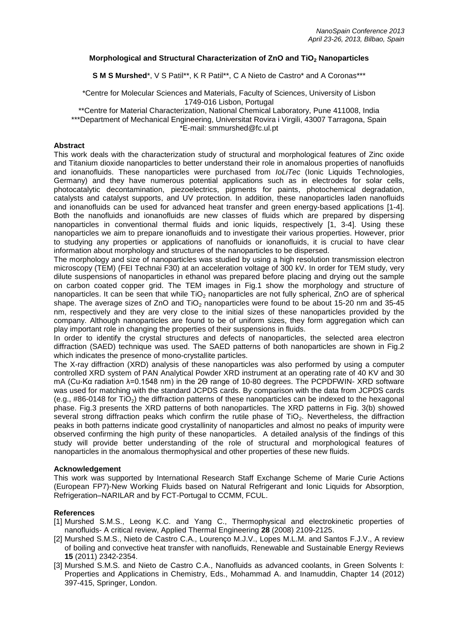# **Morphological and Structural Characterization of ZnO and TiO<sup>2</sup> Nanoparticles**

**S M S Murshed**\*, V S Patil\*\*, K R Patil\*\*, C A Nieto de Castro<sup>\*</sup> and A Coronas\*\*\*

### \*Centre for Molecular Sciences and Materials, Faculty of Sciences, University of Lisbon 1749-016 Lisbon, Portugal

\*\*Centre for Material Characterization, National Chemical Laboratory, Pune 411008, India \*\*\*Department of Mechanical Engineering, Universitat Rovira i Virgili, 43007 Tarragona, Spain

\*E-mail: smmurshed@fc.ul.pt

# **Abstract**

This work deals with the characterization study of structural and morphological features of Zinc oxide and Titanium dioxide nanoparticles to better understand their role in anomalous properties of nanofluids and ionanofluids. These nanoparticles were purchased from *IoLiTec* (Ionic Liquids Technologies, Germany) and they have numerous potential applications such as in electrodes for solar cells, photocatalytic decontamination, piezoelectrics, pigments for paints, photochemical degradation, catalysts and catalyst supports, and UV protection. In addition, these nanoparticles laden nanofluids and ionanofluids can be used for advanced heat transfer and green energy-based applications [1-4]. Both the nanofluids and ionanofluids are new classes of fluids which are prepared by dispersing nanoparticles in conventional thermal fluids and ionic liquids, respectively [1, 3-4]. Using these nanoparticles we aim to prepare ionanofluids and to investigate their various properties. However, prior to studying any properties or applications of nanofluids or ionanofluids, it is crucial to have clear information about morphology and structures of the nanoparticles to be dispersed.

The morphology and size of nanoparticles was studied by using a high resolution transmission electron microscopy (TEM) (FEI Technai F30) at an acceleration voltage of 300 kV. In order for TEM study, very dilute suspensions of nanoparticles in ethanol was prepared before placing and drying out the sample on carbon coated copper grid. The TEM images in Fig.1 show the morphology and structure of nanoparticles. It can be seen that while  $TiO<sub>2</sub>$  nanoparticles are not fully spherical, ZnO are of spherical shape. The average sizes of ZnO and  $TiO<sub>2</sub>$  nanoparticles were found to be about 15-20 nm and 35-45 nm, respectively and they are very close to the initial sizes of these nanoparticles provided by the company. Although nanoparticles are found to be of uniform sizes, they form aggregation which can play important role in changing the properties of their suspensions in fluids.

In order to identify the crystal structures and defects of nanoparticles, the selected area electron diffraction (SAED) technique was used. The SAED patterns of both nanoparticles are shown in Fig.2 which indicates the presence of mono-crystallite particles.

The X-ray diffraction (XRD) analysis of these nanoparticles was also performed by using a computer controlled XRD system of PAN Analytical Powder XRD instrument at an operating rate of 40 KV and 30 mA (Cu-Kα radiation λ=0.1548 nm) in the 2Ѳ range of 10-80 degrees. The PCPDFWIN- XRD software was used for matching with the standard JCPDS cards. By comparison with the data from JCPDS cards (e.g., #86-0148 for TiO<sub>2</sub>) the diffraction patterns of these nanoparticles can be indexed to the hexagonal phase. Fig.3 presents the XRD patterns of both nanoparticles. The XRD patterns in Fig. 3(b) showed several strong diffraction peaks which confirm the rutile phase of  $TiO<sub>2</sub>$ . Nevertheless, the diffraction peaks in both patterns indicate good crystallinity of nanoparticles and almost no peaks of impurity were observed confirming the high purity of these nanoparticles. A detailed analysis of the findings of this study will provide better understanding of the role of structural and morphological features of nanoparticles in the anomalous thermophysical and other properties of these new fluids.

#### **Acknowledgement**

This work was supported by International Research Staff Exchange Scheme of Marie Curie Actions (European FP7)-New Working Fluids based on Natural Refrigerant and Ionic Liquids for Absorption, Refrigeration–NARILAR and by FCT-Portugal to CCMM, FCUL.

#### **References**

- [1] Murshed S.M.S., Leong K.C. and Yang C., Thermophysical and electrokinetic properties of nanofluids- A critical review, Applied Thermal Engineering **28** (2008) 2109-2125.
- [2] Murshed S.M.S., Nieto de Castro C.A., Lourenço M.J.V., Lopes M.L.M. and Santos F.J.V., A review of boiling and convective heat transfer with nanofluids, Renewable and Sustainable Energy Reviews **15** (2011) 2342-2354.
- [3] Murshed S.M.S. and Nieto de Castro C.A., Nanofluids as advanced coolants, in Green Solvents I: Properties and Applications in Chemistry, Eds., Mohammad A. and Inamuddin, Chapter 14 (2012) 397-415, Springer, London.